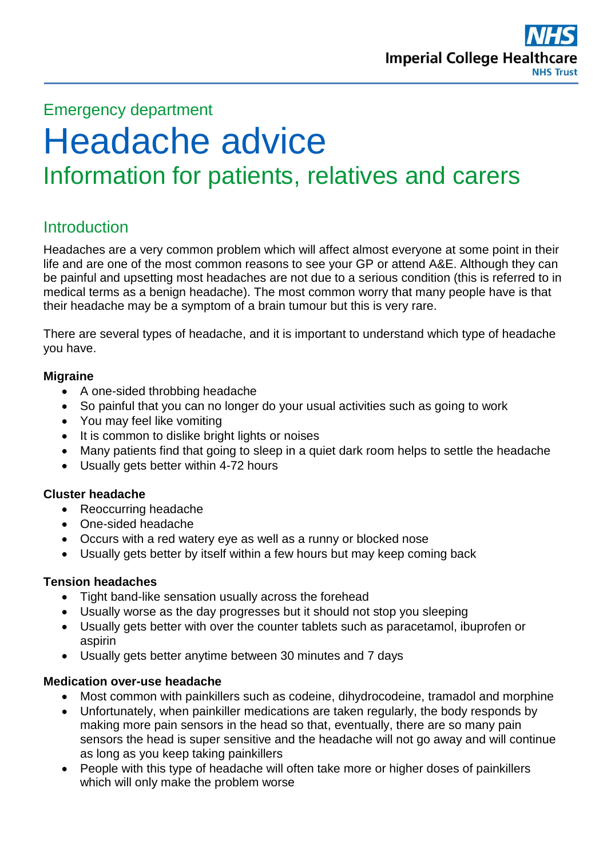

# Emergency department

# Headache advice Information for patients, relatives and carers

# **Introduction**

Headaches are a very common problem which will affect almost everyone at some point in their life and are one of the most common reasons to see your GP or attend A&E. Although they can be painful and upsetting most headaches are not due to a serious condition (this is referred to in medical terms as a benign headache). The most common worry that many people have is that their headache may be a symptom of a brain tumour but this is very rare.

There are several types of headache, and it is important to understand which type of headache you have.

### **Migraine**

- A one-sided throbbing headache
- So painful that you can no longer do your usual activities such as going to work
- You may feel like vomiting
- It is common to dislike bright lights or noises
- Many patients find that going to sleep in a quiet dark room helps to settle the headache
- Usually gets better within 4-72 hours

## **Cluster headache**

- Reoccurring headache
- One-sided headache
- Occurs with a red watery eye as well as a runny or blocked nose
- Usually gets better by itself within a few hours but may keep coming back

#### **Tension headaches**

- Tight band-like sensation usually across the forehead
- Usually worse as the day progresses but it should not stop you sleeping
- Usually gets better with over the counter tablets such as paracetamol, ibuprofen or aspirin
- Usually gets better anytime between 30 minutes and 7 days

#### **Medication over-use headache**

- Most common with painkillers such as codeine, dihydrocodeine, tramadol and morphine
- Unfortunately, when painkiller medications are taken regularly, the body responds by making more pain sensors in the head so that, eventually, there are so many pain sensors the head is super sensitive and the headache will not go away and will continue as long as you keep taking painkillers
- People with this type of headache will often take more or higher doses of painkillers which will only make the problem worse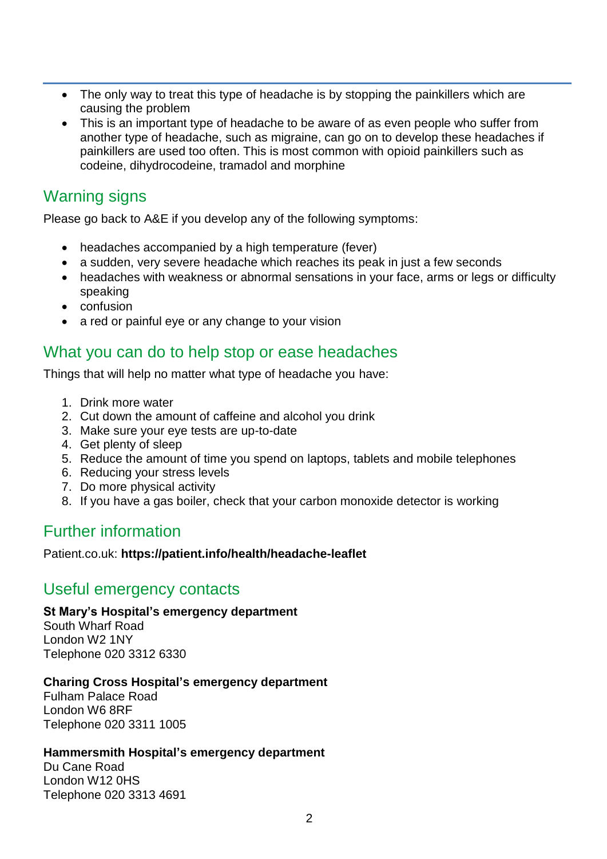- The only way to treat this type of headache is by stopping the painkillers which are causing the problem
- This is an important type of headache to be aware of as even people who suffer from another type of headache, such as migraine, can go on to develop these headaches if painkillers are used too often. This is most common with opioid painkillers such as codeine, dihydrocodeine, tramadol and morphine

# Warning signs

Please go back to A&E if you develop any of the following symptoms:

- headaches accompanied by a high temperature (fever)
- a sudden, very severe headache which reaches its peak in just a few seconds
- headaches with weakness or abnormal sensations in your face, arms or legs or difficulty speaking
- confusion
- a red or painful eye or any change to your vision

## What you can do to help stop or ease headaches

Things that will help no matter what type of headache you have:

- 1. Drink more water
- 2. Cut down the amount of caffeine and alcohol you drink
- 3. Make sure your eye tests are up-to-date
- 4. Get plenty of sleep
- 5. Reduce the amount of time you spend on laptops, tablets and mobile telephones
- 6. Reducing your stress levels
- 7. Do more physical activity
- 8. If you have a gas boiler, check that your carbon monoxide detector is working

# Further information

Patient.co.uk: **https://patient.info/health/headache-leaflet**

## Useful emergency contacts

## **St Mary's Hospital's emergency department**

South Wharf Road London W2 1NY Telephone 020 3312 6330

## **Charing Cross Hospital's emergency department**

Fulham Palace Road London W6 8RF Telephone 020 3311 1005

## **Hammersmith Hospital's emergency department**

Du Cane Road London W12 0HS Telephone 020 3313 4691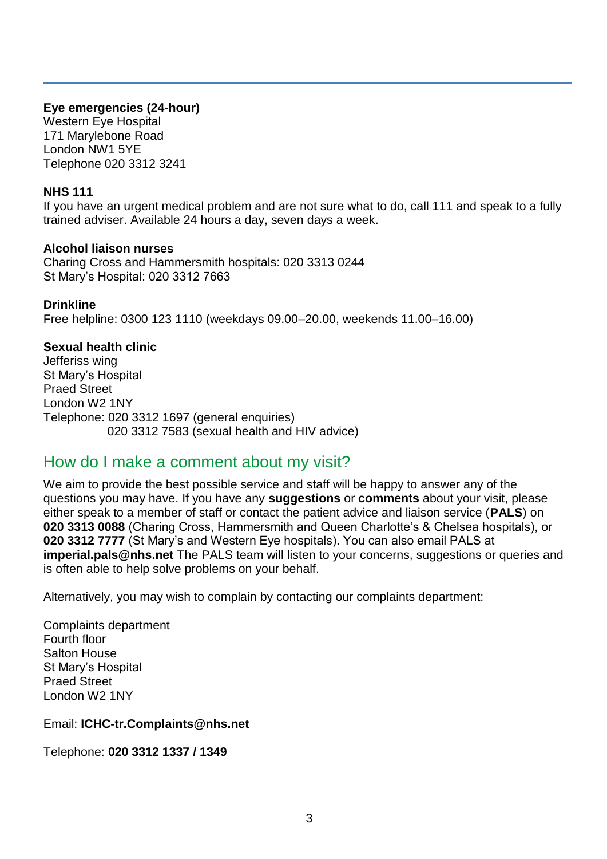### **Eye emergencies (24-hour)**

Western Eye Hospital 171 Marylebone Road London NW1 5YE Telephone 020 3312 3241

### **NHS 111**

If you have an urgent medical problem and are not sure what to do, call 111 and speak to a fully trained adviser. Available 24 hours a day, seven days a week.

#### **Alcohol liaison nurses**

Charing Cross and Hammersmith hospitals: 020 3313 0244 St Mary's Hospital: 020 3312 7663

#### **Drinkline**

Free helpline: 0300 123 1110 (weekdays 09.00–20.00, weekends 11.00–16.00)

#### **Sexual health clinic**

Jefferiss wing St Mary's Hospital Praed Street London W2 1NY Telephone: 020 3312 1697 (general enquiries) 020 3312 7583 (sexual health and HIV advice)

## How do I make a comment about my visit?

We aim to provide the best possible service and staff will be happy to answer any of the questions you may have. If you have any **suggestions** or **comments** about your visit, please either speak to a member of staff or contact the patient advice and liaison service (**PALS**) on **020 3313 0088** (Charing Cross, Hammersmith and Queen Charlotte's & Chelsea hospitals), or **020 3312 7777** (St Mary's and Western Eye hospitals). You can also email PALS at **imperial.pals@nhs.net** The PALS team will listen to your concerns, suggestions or queries and is often able to help solve problems on your behalf.

Alternatively, you may wish to complain by contacting our complaints department:

Complaints department Fourth floor Salton House St Mary's Hospital Praed Street London W2 1NY

Email: **ICHC-tr.Complaints@nhs.net** 

Telephone: **020 3312 1337 / 1349**